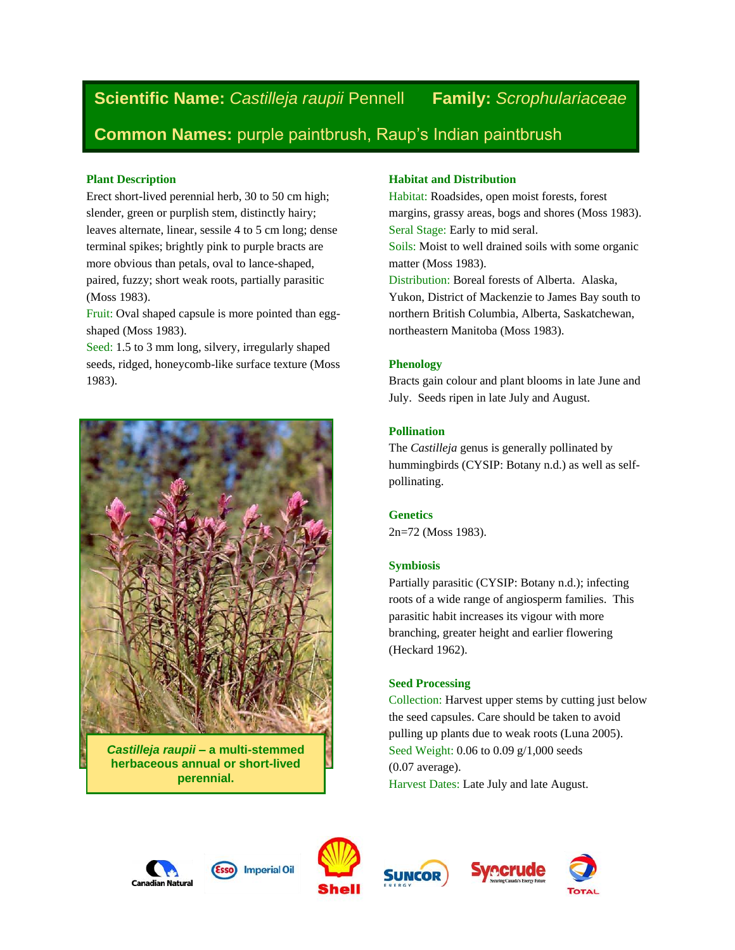**Scientific Name:** *Castilleja raupii* Pennell **Family:** *Scrophulariaceae*

**Common Names:** purple paintbrush, Raup's Indian paintbrush

### **Plant Description**

Erect short-lived perennial herb, 30 to 50 cm high; slender, green or purplish stem, distinctly hairy; leaves alternate, linear, sessile 4 to 5 cm long; dense terminal spikes; brightly pink to purple bracts are more obvious than petals, oval to lance-shaped, paired, fuzzy; short weak roots, partially parasitic (Moss 1983).

Fruit: Oval shaped capsule is more pointed than eggshaped (Moss 1983).

Seed: 1.5 to 3 mm long, silvery, irregularly shaped seeds, ridged, honeycomb-like surface texture (Moss 1983).



*Castilleja raupii –* **a multi-stemmed herbaceous annual or short-lived perennial.**

## **Habitat and Distribution**

Habitat: Roadsides, open moist forests, forest margins, grassy areas, bogs and shores (Moss 1983). Seral Stage: Early to mid seral.

Soils: Moist to well drained soils with some organic matter (Moss 1983).

Distribution: Boreal forests of Alberta. Alaska, Yukon, District of Mackenzie to James Bay south to northern British Columbia, Alberta, Saskatchewan, northeastern Manitoba (Moss 1983).

# **Phenology**

Bracts gain colour and plant blooms in late June and July. Seeds ripen in late July and August.

## **Pollination**

The *Castilleja* genus is generally pollinated by hummingbirds (CYSIP: Botany n.d.) as well as selfpollinating.

**Genetics**

2n=72 (Moss 1983).

## **Symbiosis**

Partially parasitic (CYSIP: Botany n.d.); infecting roots of a wide range of angiosperm families. This parasitic habit increases its vigour with more branching, greater height and earlier flowering (Heckard 1962).

## **Seed Processing**

Collection: Harvest upper stems by cutting just below the seed capsules. Care should be taken to avoid pulling up plants due to weak roots (Luna 2005). Seed Weight: 0.06 to 0.09 g/1,000 seeds (0.07 average). Harvest Dates: Late July and late August.





**Imperial Oil** 



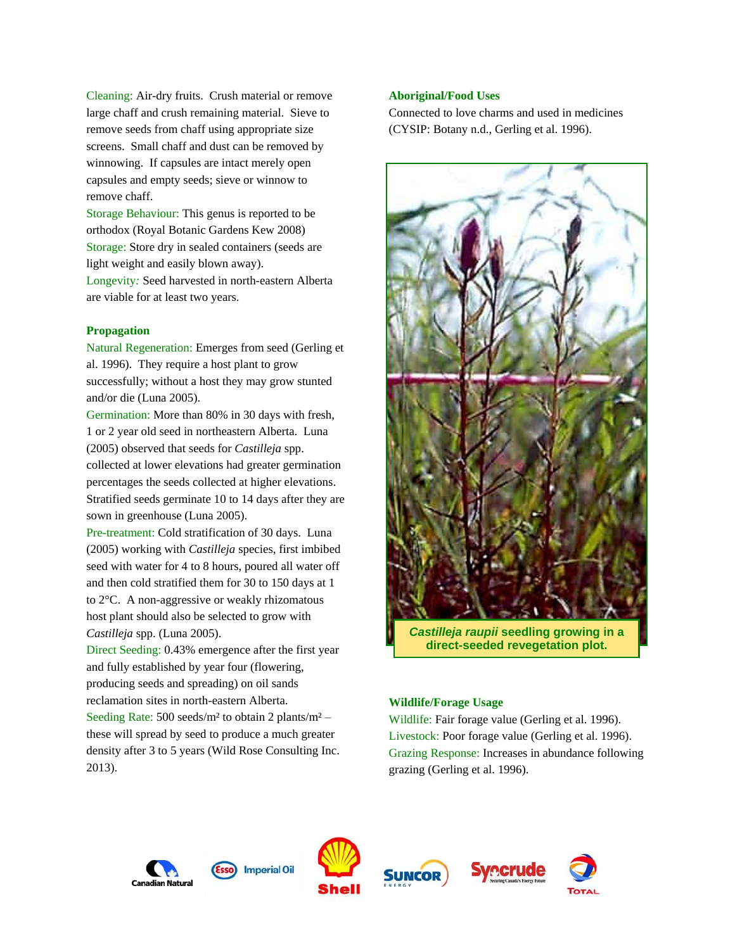Cleaning: Air-dry fruits. Crush material or remove large chaff and crush remaining material. Sieve to remove seeds from chaff using appropriate size screens. Small chaff and dust can be removed by winnowing. If capsules are intact merely open capsules and empty seeds; sieve or winnow to remove chaff.

Storage Behaviour: This genus is reported to be orthodox (Royal Botanic Gardens Kew 2008) Storage: Store dry in sealed containers (seeds are light weight and easily blown away). Longevity*:* Seed harvested in north-eastern Alberta are viable for at least two years.

#### **Propagation**

Natural Regeneration: Emerges from seed (Gerling et al. 1996). They require a host plant to grow successfully; without a host they may grow stunted and/or die (Luna 2005).

Germination: More than 80% in 30 days with fresh, 1 or 2 year old seed in northeastern Alberta. Luna (2005) observed that seeds for *Castilleja* spp. collected at lower elevations had greater germination percentages the seeds collected at higher elevations. Stratified seeds germinate 10 to 14 days after they are sown in greenhouse (Luna 2005).

Pre-treatment: Cold stratification of 30 days. Luna (2005) working with *Castilleja* species, first imbibed seed with water for 4 to 8 hours, poured all water off and then cold stratified them for 30 to 150 days at 1 to 2°C. A non-aggressive or weakly rhizomatous host plant should also be selected to grow with *Castilleja* spp. (Luna 2005).

Direct Seeding: 0.43% emergence after the first year and fully established by year four (flowering, producing seeds and spreading) on oil sands reclamation sites in north-eastern Alberta. Seeding Rate:  $500 \text{ seeds/m}^2$  to obtain 2 plants/m<sup>2</sup> – these will spread by seed to produce a much greater density after 3 to 5 years (Wild Rose Consulting Inc. 2013).

#### **Aboriginal/Food Uses**

Connected to love charms and used in medicines (CYSIP: Botany n.d., Gerling et al. 1996).



*Castilleja raupii* **seedling growing in a direct-seeded revegetation plot.**

#### **Wildlife/Forage Usage**

Wildlife: Fair forage value (Gerling et al. 1996). Livestock: Poor forage value (Gerling et al. 1996). Grazing Response: Increases in abundance following grazing (Gerling et al. 1996).